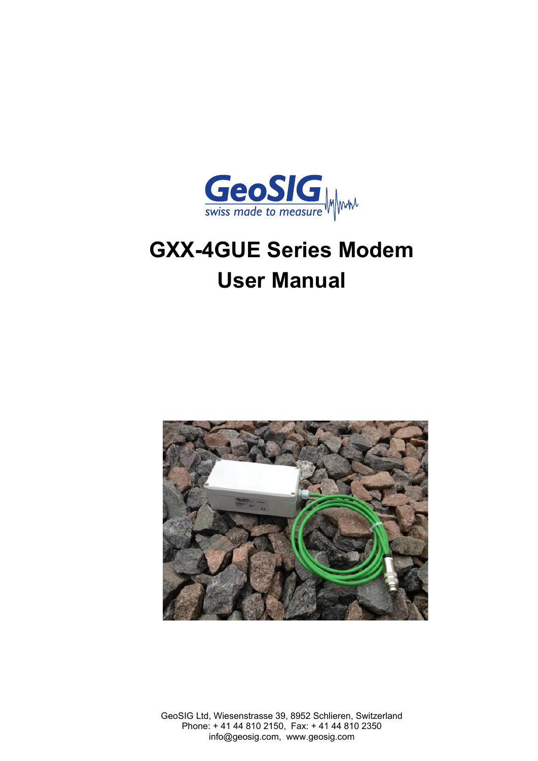

# **GXX-4GUE Series Modem User Manual**



GeoSIG Ltd, Wiesenstrasse 39, 8952 Schlieren, Switzerland Phone: + 41 44 810 2150, Fax: + 41 44 810 2350 info@geosig.com, www.geosig.com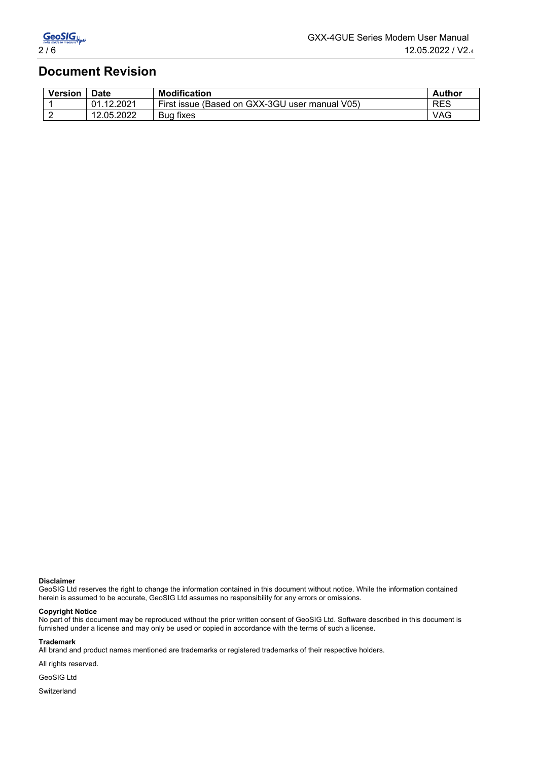#### **Document Revision**

| <b>Version</b> | <b>Date</b>    | <b>Modification</b>                            | Author     |
|----------------|----------------|------------------------------------------------|------------|
|                | .12.2021<br>01 | First issue (Based on GXX-3GU user manual V05) | <b>RES</b> |
|                | 12.05.2022     | Bug fixes                                      | <b>VAG</b> |

#### **Disclaimer**

GeoSIG Ltd reserves the right to change the information contained in this document without notice. While the information contained herein is assumed to be accurate, GeoSIG Ltd assumes no responsibility for any errors or omissions.

#### **Copyright Notice**

No part of this document may be reproduced without the prior written consent of GeoSIG Ltd. Software described in this document is furnished under a license and may only be used or copied in accordance with the terms of such a license.

#### **Trademark**

All brand and product names mentioned are trademarks or registered trademarks of their respective holders.

All rights reserved.

GeoSIG Ltd

Switzerland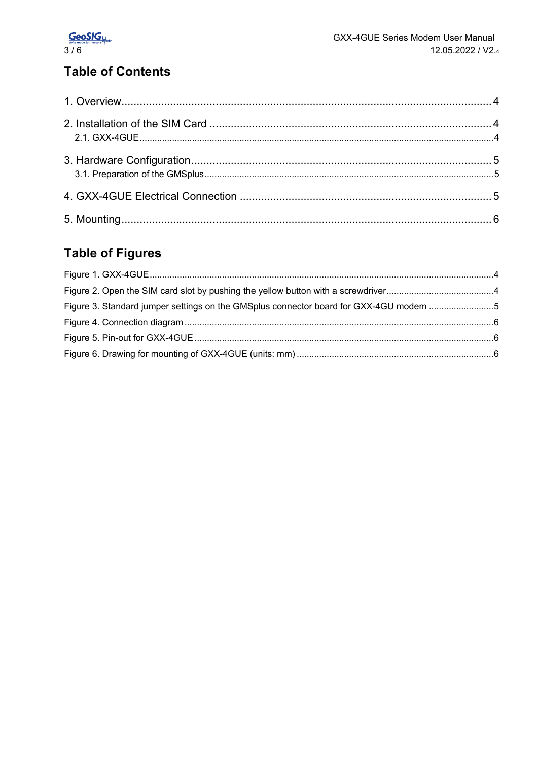# **Table of Contents**

## **Table of Figures**

| Figure 3. Standard jumper settings on the GMSplus connector board for GXX-4GU modem 5 |  |
|---------------------------------------------------------------------------------------|--|
|                                                                                       |  |
|                                                                                       |  |
|                                                                                       |  |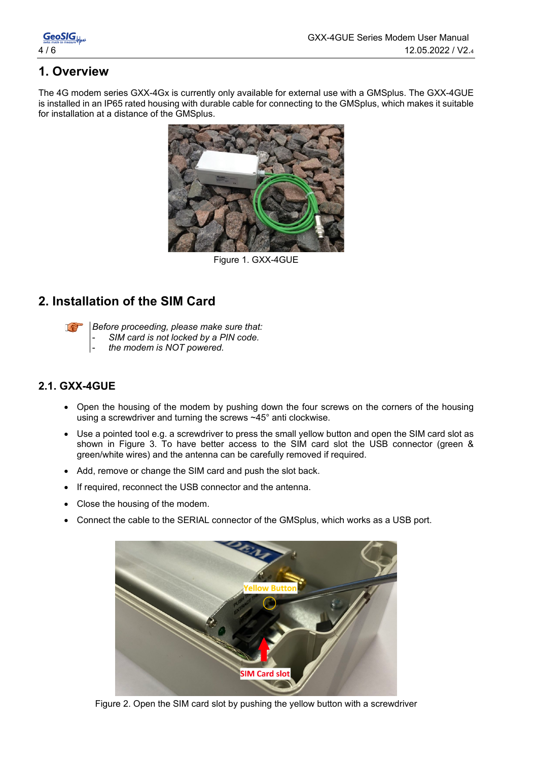GeoSIGL.

### **1. Overview**

The 4G modem series GXX-4Gx is currently only available for external use with a GMSplus. The GXX-4GUE is installed in an IP65 rated housing with durable cable for connecting to the GMSplus, which makes it suitable for installation at a distance of the GMSplus.



Figure 1. GXX-4GUE

#### **2. Installation of the SIM Card**

Le

*Before proceeding, please make sure that:* - *SIM card is not locked by a PIN code.* 

- *the modem is NOT powered.* 

#### **2.1. GXX-4GUE**

- Open the housing of the modem by pushing down the four screws on the corners of the housing using a screwdriver and turning the screws ~45° anti clockwise.
- Use a pointed tool e.g. a screwdriver to press the small yellow button and open the SIM card slot as shown in [Figure 3.](#page-3-0) To have better access to the SIM card slot the USB connector (green & green/white wires) and the antenna can be carefully removed if required.
- Add, remove or change the SIM card and push the slot back.
- If required, reconnect the USB connector and the antenna.
- Close the housing of the modem.
- Connect the cable to the SERIAL connector of the GMSplus, which works as a USB port.

<span id="page-3-0"></span>

Figure 2. Open the SIM card slot by pushing the yellow button with a screwdriver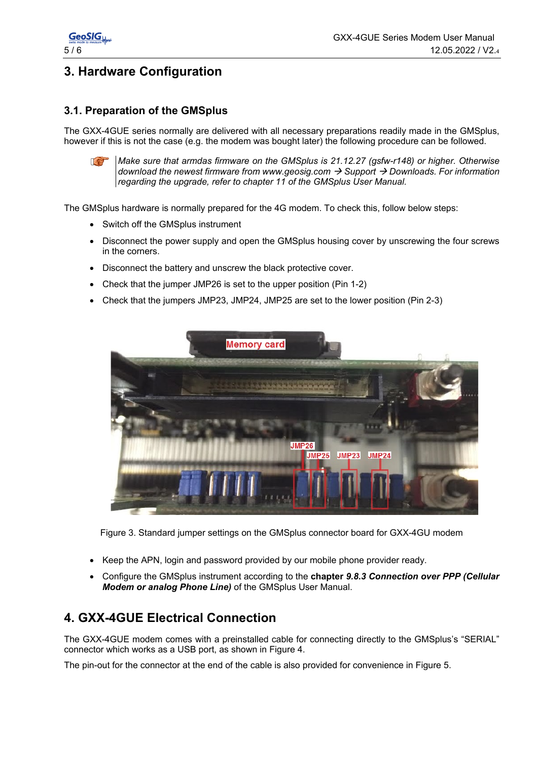

### **3. Hardware Configuration**

#### **3.1. Preparation of the GMSplus**

The GXX-4GUE series normally are delivered with all necessary preparations readily made in the GMSplus, however if this is not the case (e.g. the modem was bought later) the following procedure can be followed.



*Make sure that armdas firmware on the GMSplus is 21.12.27 (gsfw-r148) or higher. Otherwise download the newest firmware from www.geosig.com Support Downloads. For information regarding the upgrade, refer to chapter 11 of the GMSplus User Manual.*

The GMSplus hardware is normally prepared for the 4G modem. To check this, follow below steps:

- Switch off the GMSplus instrument
- Disconnect the power supply and open the GMSplus housing cover by unscrewing the four screws in the corners.
- Disconnect the battery and unscrew the black protective cover.
- Check that the jumper JMP26 is set to the upper position (Pin 1-2)
- Check that the jumpers JMP23, JMP24, JMP25 are set to the lower position (Pin 2-3)



Figure 3. Standard jumper settings on the GMSplus connector board for GXX-4GU modem

- Keep the APN, login and password provided by our mobile phone provider ready.
- Configure the GMSplus instrument according to the **chapter** *9.8.3 Connection over PPP (Cellular Modem or analog Phone Line)* of the GMSplus User Manual.

#### **4. GXX-4GUE Electrical Connection**

The GXX-4GUE modem comes with a preinstalled cable for connecting directly to the GMSplus's "SERIAL" connector which works as a USB port, as shown in [Figure 4.](#page-5-0)

The pin-out for the connector at the end of the cable is also provided for convenience in [Figure 5.](#page-5-1)